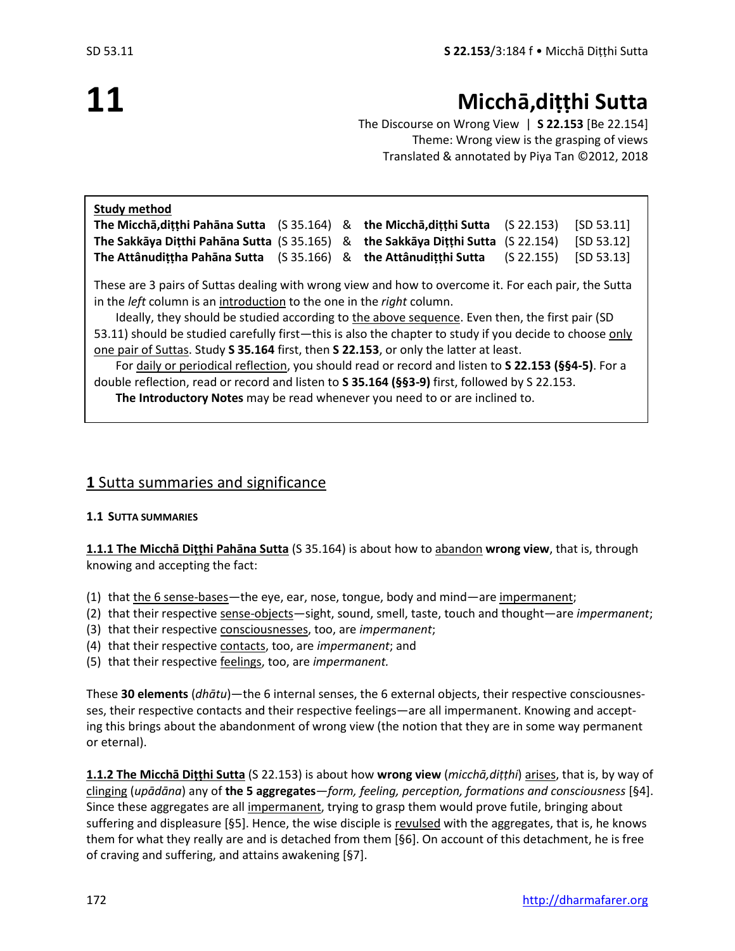# **11**

## **Micchā,diṭṭhi Sutta**

The Discourse on Wrong View | **S 22.153** [Be 22.154] Theme: Wrong view is the grasping of views Translated & annotated by Piya Tan ©2012, 2018

| <b>Study method</b>                                                                                                                                                                         |            |   |                          |                        |            |
|---------------------------------------------------------------------------------------------------------------------------------------------------------------------------------------------|------------|---|--------------------------|------------------------|------------|
| The Miccha, dițțhi Pahana Sutta (S 35.164)                                                                                                                                                  |            | & | the Miccha, ditthi Sutta | (S <sub>22.153</sub> ) | [SD 53.11] |
| The Sakkāya Dițthi Pahāna Sutta (S 35.165)                                                                                                                                                  |            | & | the Sakkāya Dițțhi Sutta | (S 22.154)             | [SD 53.12] |
| The Attânudițțha Pahāna Sutta                                                                                                                                                               | (S 35.166) | & | the Attânudițțhi Sutta   | (S <sub>22.155</sub> ) | [SD 53.13] |
| These are 3 pairs of Suttas dealing with wrong view and how to overcome it. For each pair, the Sutta<br>in the <i>left</i> column is an introduction to the one in the <i>right</i> column. |            |   |                          |                        |            |
| Ideally, they should be studied according to the above sequence. Even then, the first pair (SD                                                                                              |            |   |                          |                        |            |
| 53.11) should be studied carefully first—this is also the chapter to study if you decide to choose only                                                                                     |            |   |                          |                        |            |
| one pair of Suttas. Study S 35.164 first, then S 22.153, or only the latter at least.                                                                                                       |            |   |                          |                        |            |
| For daily or periodical reflection, you should read or record and listen to S 22.153 (§§4-5). For a                                                                                         |            |   |                          |                        |            |
| double reflection, read or record and listen to S 35.164 (§§3-9) first, followed by S 22.153.                                                                                               |            |   |                          |                        |            |
| The Introductory Notes may be read whenever you need to or are inclined to.                                                                                                                 |            |   |                          |                        |            |

## **1** Sutta summaries and significance

## **1.1 SUTTA SUMMARIES**

**1.1.1 The Micchā Diṭṭhi Pahāna Sutta** (S 35.164) is about how to abandon **wrong view**, that is, through knowing and accepting the fact:

- (1) that the 6 sense-bases—the eye, ear, nose, tongue, body and mind—are impermanent;
- (2) that their respective sense-objects-sight, sound, smell, taste, touch and thought-are *impermanent*;
- (3) that their respective consciousnesses, too, are *impermanent*;
- (4) that their respective contacts, too, are *impermanent*; and
- (5) that their respective feelings, too, are *impermanent.*

These **30 elements** (*dhātu*)—the 6 internal senses, the 6 external objects, their respective consciousnesses, their respective contacts and their respective feelings—are all impermanent. Knowing and accepting this brings about the abandonment of wrong view (the notion that they are in some way permanent or eternal).

**1.1.2 The Micchā Diṭṭhi Sutta** (S 22.153) is about how **wrong view** (*micchā,diṭṭhi*) arises, that is, by way of clinging (*upādāna*) any of **the 5 aggregates**—*form, feeling, perception, formations and consciousness* [§4]. Since these aggregates are all impermanent, trying to grasp them would prove futile, bringing about suffering and displeasure [§5]. Hence, the wise disciple is revulsed with the aggregates, that is, he knows them for what they really are and is detached from them [§6]. On account of this detachment, he is free of craving and suffering, and attains awakening [§7].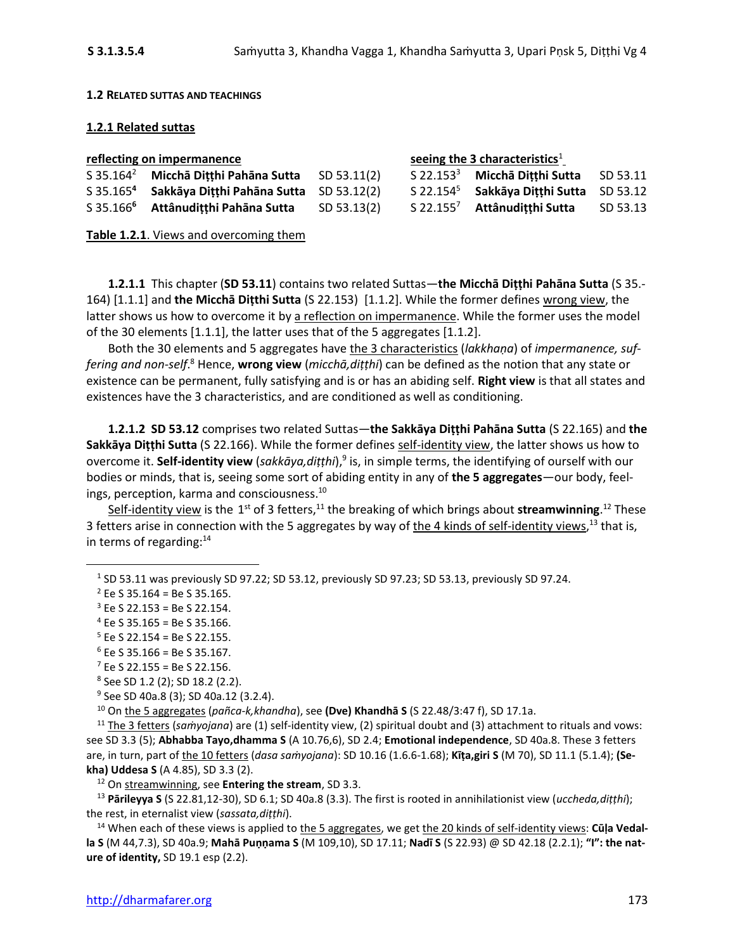### **1.2 RELATED SUTTAS AND TEACHINGS**

### **1.2.1 Related suttas**

| reflecting on impermanence |                                                               |             | seeing the 3 characteristics <sup>1</sup> |                                                      |          |
|----------------------------|---------------------------------------------------------------|-------------|-------------------------------------------|------------------------------------------------------|----------|
|                            | S 35.164 <sup>2</sup> Miccha Ditthi Pahana Sutta SD 53.11(2)  |             |                                           | $S$ 22.153 <sup>3</sup> Miccha Dițțhi Sutta SD 53.11 |          |
|                            | S 35.165 <sup>4</sup> Sakkāya Ditthi Pahāna Sutta SD 53.12(2) |             |                                           | S 22.154 <sup>5</sup> Sakkāya Ditthi Sutta SD 53.12  |          |
|                            | S 35.166 <sup>6</sup> Attânudițțhi Pahāna Sutta               | SD 53.13(2) |                                           | S 22.155 <sup>7</sup> Attânuditthi Sutta             | SD 53.13 |

**Table 1.2.1**. Views and overcoming them

**1.2.1.1** This chapter (**SD 53.11**) contains two related Suttas—**the Micchā Diṭṭhi Pahāna Sutta** (S 35.- 164) [1.1.1] and **the Micchā Diṭthi Sutta** (S 22.153) [1.1.2]. While the former defines wrong view, the latter shows us how to overcome it by a reflection on impermanence. While the former uses the model of the 30 elements [1.1.1], the latter uses that of the 5 aggregates [1.1.2].

Both the 30 elements and 5 aggregates have the 3 characteristics (*lakkhaṇa*) of *impermanence, suf*fering and non-self.<sup>8</sup> Hence, **wrong view** (micchā,diṭṭhi) can be defined as the notion that any state or existence can be permanent, fully satisfying and is or has an abiding self. **Right view** is that all states and existences have the 3 characteristics, and are conditioned as well as conditioning.

**1.2.1.2 SD 53.12** comprises two related Suttas—**the Sakkāya Diṭṭhi Pahāna Sutta** (S 22.165) and **the Sakkāya Diṭṭhi Sutta** (S 22.166). While the former defines self-identity view, the latter shows us how to overcome it. **Self-identity view** (*sakkāya,diṭṭhi*), 9 is, in simple terms, the identifying of ourself with our bodies or minds, that is, seeing some sort of abiding entity in any of **the 5 aggregates**—our body, feelings, perception, karma and consciousness. 10

Self-identity view is the 1<sup>st</sup> of 3 fetters,<sup>11</sup> the breaking of which brings about streamwinning.<sup>12</sup> These 3 fetters arise in connection with the 5 aggregates by way of the 4 kinds of self-identity views,<sup>13</sup> that is, in terms of regarding: $14$ 

<sup>9</sup> See SD 40a.8 (3); SD 40a.12 (3.2.4).

<sup>10</sup> On the 5 aggregates (*pañca-k,khandha*), see **(Dve) Khandhā S** (S 22.48/3:47 f), SD 17.1a.

<sup>11</sup> The 3 fetters (*saṁyojana*) are (1) self-identity view, (2) spiritual doubt and (3) attachment to rituals and vows: see SD 3.3 (5); **Abhabba Tayo,dhamma S** (A 10.76,6), SD 2.4; **Emotional independence**, SD 40a.8. These 3 fetters are, in turn, part of the 10 fetters (*dasa saṁyojana*): SD 10.16 (1.6.6-1.68); **Kīṭa,giri S** (M 70), SD 11.1 (5.1.4); **(Sekha) Uddesa S** (A 4.85), SD 3.3 (2).

<sup>12</sup> On streamwinning, see **Entering the stream**, SD 3.3.

<sup>13</sup> **Pārileyya S** (S 22.81,12-30), SD 6.1; SD 40a.8 (3.3). The first is rooted in annihilationist view (*uccheda,diṭṭhi*); the rest, in eternalist view (*sassata,diṭṭhi*).

<sup>14</sup> When each of these views is applied to the 5 aggregates, we get the 20 kinds of self-identity views: **Cūḷa Vedalla S** (M 44,7.3), SD 40a.9; **Mahā Puṇṇama S** (M 109,10), SD 17.11; **Nadī S** (S 22.93) @ SD 42.18 (2.2.1); **"I": the nature of identity,** SD 19.1 esp (2.2).

 $^1$  SD 53.11 was previously SD 97.22; SD 53.12, previously SD 97.23; SD 53.13, previously SD 97.24.

 $2$  Ee S 35.164 = Be S 35.165.

 $3$  Ee S 22.153 = Be S 22.154.

 $4$  Ee S 35.165 = Be S 35.166.

 $5$  Ee S 22.154 = Be S 22.155.

 $6$  Ee S 35.166 = Be S 35.167.

 $7$  Ee S 22.155 = Be S 22.156.

<sup>8</sup> See SD 1.2 (2); SD 18.2 (2.2).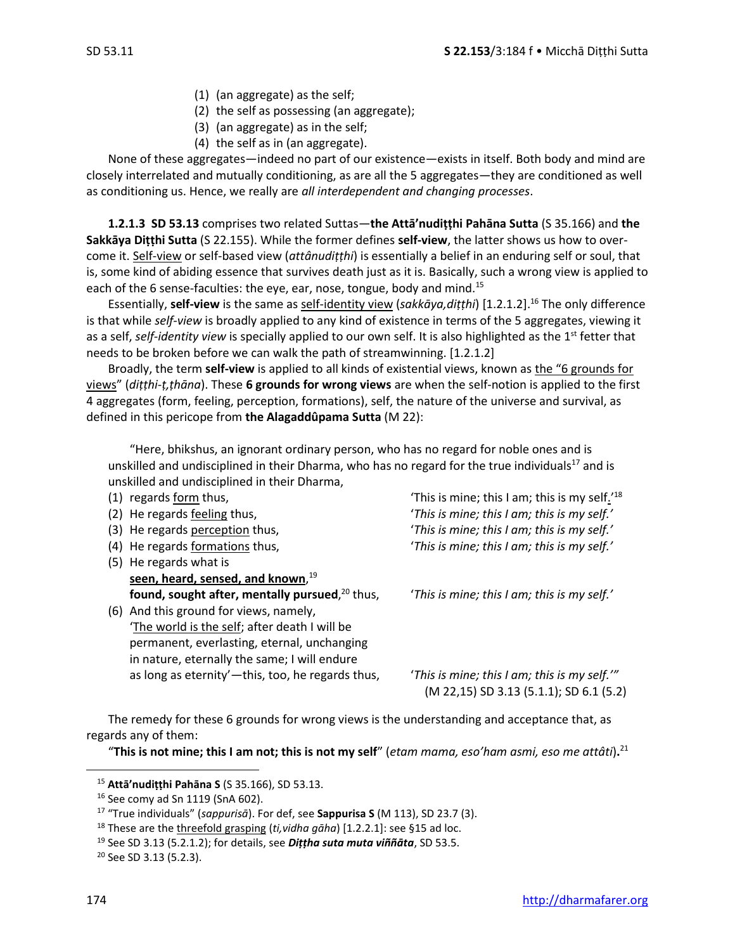- (1) (an aggregate) as the self;
- (2) the self as possessing (an aggregate);
- (3) (an aggregate) as in the self;
- (4) the self as in (an aggregate).

None of these aggregates—indeed no part of our existence—exists in itself. Both body and mind are closely interrelated and mutually conditioning, as are all the 5 aggregates—they are conditioned as well as conditioning us. Hence, we really are *all interdependent and changing processes*.

**1.2.1.3 SD 53.13** comprises two related Suttas—**the Attā'nudiṭṭhi Pahāna Sutta** (S 35.166) and **the Sakkāya Diṭṭhi Sutta** (S 22.155). While the former defines **self-view**, the latter shows us how to overcome it. Self-view or self-based view (*attânudiṭṭhi*) is essentially a belief in an enduring self or soul, that is, some kind of abiding essence that survives death just as it is. Basically, such a wrong view is applied to each of the 6 sense-faculties: the eye, ear, nose, tongue, body and mind.<sup>15</sup>

Essentially, **self-view** is the same as self-identity view (*sakkāya,diṭṭhi*) [1.2.1.2]. <sup>16</sup> The only difference is that while *self-view* is broadly applied to any kind of existence in terms of the 5 aggregates, viewing it as a self, *self-identity view* is specially applied to our own self. It is also highlighted as the 1<sup>st</sup> fetter that needs to be broken before we can walk the path of streamwinning. [1.2.1.2]

Broadly, the term **self-view** is applied to all kinds of existential views, known as the "6 grounds for views" (*diṭṭhi-ṭ,ṭhāna*). These **6 grounds for wrong views** are when the self-notion is applied to the first 4 aggregates (form, feeling, perception, formations), self, the nature of the universe and survival, as defined in this pericope from **the Alagaddûpama Sutta** (M 22):

"Here, bhikshus, an ignorant ordinary person, who has no regard for noble ones and is unskilled and undisciplined in their Dharma, who has no regard for the true individuals<sup>17</sup> and is unskilled and undisciplined in their Dharma,

- 
- 
- 
- 
- (5) He regards what is **seen, heard, sensed, and known**, 19 **found, sought after, mentally pursued**,
- (6) And this ground for views, namely, 'The world is the self; after death I will be permanent, everlasting, eternal, unchanging in nature, eternally the same; I will endure as long as eternity'—this, too, he regards thus, '*This is mine; this I am; this is my self.'"*

(1) regards form thus,  $\blacksquare$  (This is mine; this I am; this is my self.<sup>'18</sup> (2) He regards feeling thus, '*This is mine; this I am; this is my self.'* (3) He regards perception thus, '*This is mine; this I am; this is my self.'* (4) He regards formations thus, '*This is mine; this I am; this is my self.'*

'This is mine; this I am; this is my self.'

(M 22,15) SD 3.13 (5.1.1); SD 6.1 (5.2)

The remedy for these 6 grounds for wrong views is the understanding and acceptance that, as regards any of them:

"**This is not mine; this I am not; this is not my self**" (*etam mama, eso'ham asmi, eso me attâti*)**.** 21

<sup>15</sup> **Attā'nudiṭṭhi Pahāna S** (S 35.166), SD 53.13.

<sup>16</sup> See comy ad Sn 1119 (SnA 602).

<sup>17</sup> "True individuals" (*sappurisā*). For def, see **Sappurisa S** (M 113), SD 23.7 (3).

<sup>18</sup> These are the threefold grasping (*ti,vidha gāha*) [1.2.2.1]: see §15 ad loc.

<sup>19</sup> See SD 3.13 (5.2.1.2); for details, see *Diṭṭha suta muta viññāta*, SD 53.5.

<sup>20</sup> See SD 3.13 (5.2.3).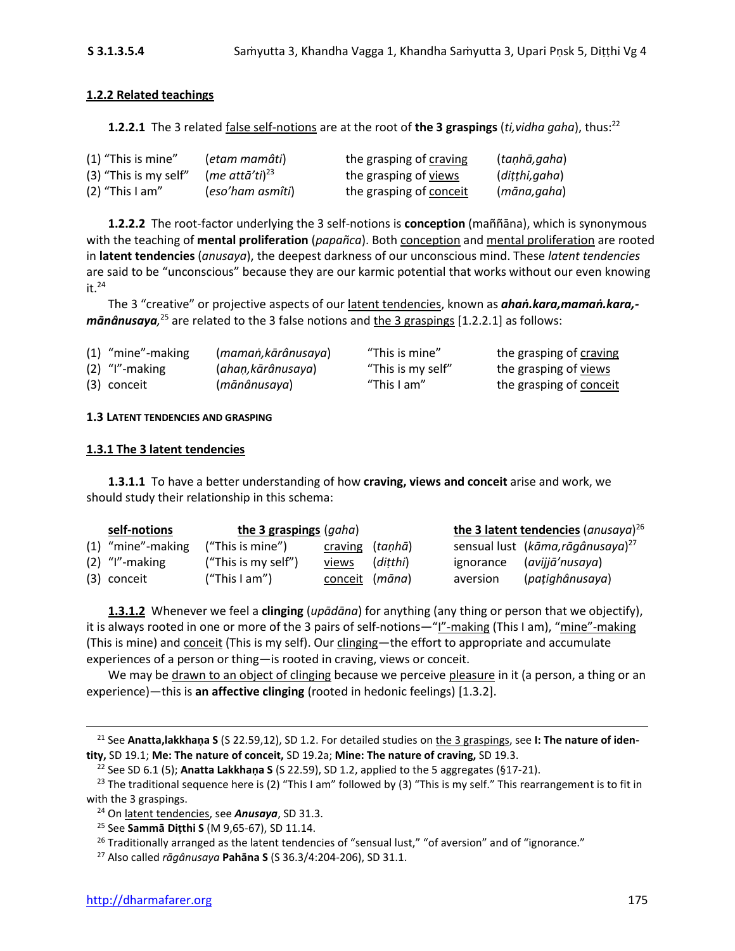## **1.2.2 Related teachings**

**1.2.2.1** The 3 related false self-notions are at the root of **the 3 graspings** (*ti,vidha gaha*), thus:<sup>22</sup>

| $(1)$ "This is mine"  | (etam mamâti)              | the grasping of craving | (taṇhā,gaha)  |
|-----------------------|----------------------------|-------------------------|---------------|
| (3) "This is my self" | (me attā'ti) <sup>23</sup> | the grasping of views   | (diṭṭhi,gaha) |
| $(2)$ "This I am"     | (eso'ham asmîti)           | the grasping of conceit | (māna,gaha)   |

**1.2.2.2** The root-factor underlying the 3 self-notions is **conception** (maññāna), which is synonymous with the teaching of **mental proliferation** (*papañca*). Both conception and mental proliferation are rooted in **latent tendencies** (*anusaya*), the deepest darkness of our unconscious mind. These *latent tendencies*  are said to be "unconscious" because they are our karmic potential that works without our even knowing  $it.<sup>24</sup>$ 

The 3 "creative" or projective aspects of our latent tendencies, known as *ahaṅ.kara,mamaṅ.kara, mānânusaya,* <sup>25</sup> are related to the 3 false notions and the 3 graspings [1.2.2.1] as follows:

| (1) "mine"-making | (maman,kārânusaya) | "This is mine"    | the grasping of craving |
|-------------------|--------------------|-------------------|-------------------------|
| $(2)$ "I"-making  | (ahaṇ,kārânusaya)  | "This is my self" | the grasping of views   |
| (3) conceit       | (mānânusaya)       | "This I am"       | the grasping of conceit |

## **1.3 LATENT TENDENCIES AND GRASPING**

## **1.3.1 The 3 latent tendencies**

**1.3.1.1** To have a better understanding of how **craving, views and conceit** arise and work, we should study their relationship in this schema:

| self-notions        | the 3 graspings (gaha) |                 |          |          | the 3 latent tendencies $(anusaya)^{26}$      |
|---------------------|------------------------|-----------------|----------|----------|-----------------------------------------------|
| $(1)$ "mine"-making | ("This is mine")       | craving (tanha) |          |          | sensual lust (kāma, rāgânusaya) <sup>27</sup> |
| $(2)$ "I"-making    | ("This is my self")    | views           | (ditthi) |          | ignorance ( <i>avijjā'nusaya</i> )            |
| (3) conceit         | (''This I am")         | conceit (māna)  |          | aversion | (pațighânusaya)                               |

**1.3.1.2** Whenever we feel a **clinging** (*upādāna*) for anything (any thing or person that we objectify), it is always rooted in one or more of the 3 pairs of self-notions—"I"-making (This I am), "mine"-making (This is mine) and conceit (This is my self). Our clinging—the effort to appropriate and accumulate experiences of a person or thing—is rooted in craving, views or conceit.

We may be drawn to an object of clinging because we perceive pleasure in it (a person, a thing or an experience)—this is **an affective clinging** (rooted in hedonic feelings) [1.3.2].

<sup>21</sup> See **Anatta,lakkhaṇa S** (S 22.59,12), SD 1.2. For detailed studies on the 3 graspings, see **I: The nature of identity,** SD 19.1; **Me: The nature of conceit,** SD 19.2a; **Mine: The nature of craving,** SD 19.3.

<sup>22</sup> See SD 6.1 (5); **Anatta Lakkhana S** (S 22.59), SD 1.2, applied to the 5 aggregates (§17-21).

<sup>&</sup>lt;sup>23</sup> The traditional sequence here is (2) "This I am" followed by (3) "This is my self." This rearrangement is to fit in with the 3 graspings.

<sup>24</sup> On latent tendencies, see *Anusaya*, SD 31.3.

<sup>25</sup> See **Sammā Diṭthi S** (M 9,65-67), SD 11.14.

 $26$  Traditionally arranged as the latent tendencies of "sensual lust," "of aversion" and of "ignorance."

<sup>27</sup> Also called *rāgânusaya* **Pahāna S** (S 36.3/4:204-206), SD 31.1.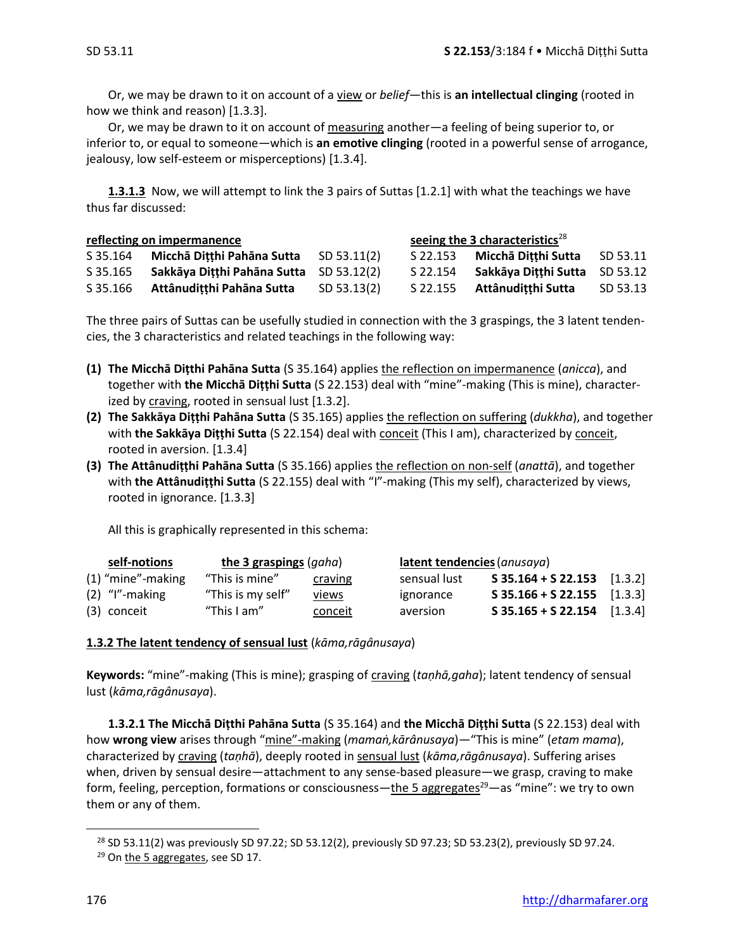Or, we may be drawn to it on account of a view or *belief*—this is **an intellectual clinging** (rooted in how we think and reason) [1.3.3].

Or, we may be drawn to it on account of measuring another—a feeling of being superior to, or inferior to, or equal to someone—which is **an emotive clinging** (rooted in a powerful sense of arrogance, jealousy, low self-esteem or misperceptions) [1.3.4].

**1.3.1.3** Now, we will attempt to link the 3 pairs of Suttas [1.2.1] with what the teachings we have thus far discussed:

| reflecting on impermanence |                                         |             | seeing the 3 characteristics <sup>28</sup> |                               |          |
|----------------------------|-----------------------------------------|-------------|--------------------------------------------|-------------------------------|----------|
| S 35.164                   | Micchā Ditthi Pahāna Sutta              | SD 53.11(2) | S 22.153                                   | Micchā Ditthi Sutta           | SD 53.11 |
| S 35.165                   | Sakkāya Ditthi Pahāna Sutta SD 53.12(2) |             | S 22.154                                   | Sakkāya Ditthi Sutta SD 53.12 |          |
| S 35.166                   | Attânudițțhi Pahāna Sutta               | SD 53.13(2) | S 22.155                                   | Attânuditthi Sutta            | SD 53.13 |

The three pairs of Suttas can be usefully studied in connection with the 3 graspings, the 3 latent tendencies, the 3 characteristics and related teachings in the following way:

- **(1) The Micchā Diṭthi Pahāna Sutta** (S 35.164) applies the reflection on impermanence (*anicca*), and together with **the Micchā Diṭṭhi Sutta** (S 22.153) deal with "mine"-making (This is mine), characterized by craving, rooted in sensual lust [1.3.2].
- **(2) The Sakkāya Diṭṭhi Pahāna Sutta** (S 35.165) applies the reflection on suffering (*dukkha*), and together with **the Sakkāya Diṭṭhi Sutta** (S 22.154) deal with conceit (This I am), characterized by conceit, rooted in aversion. [1.3.4]
- **(3) The Attânudiṭṭhi Pahāna Sutta** (S 35.166) applies the reflection on non-self (*anattā*), and together with **the Attânudiṭṭhi Sutta** (S 22.155) deal with "I"-making (This my self), characterized by views, rooted in ignorance. [1.3.3]

All this is graphically represented in this schema:

|                     | self-notions | the 3 graspings (gaha) |              | latent tendencies (anusaya) |                               |  |
|---------------------|--------------|------------------------|--------------|-----------------------------|-------------------------------|--|
| $(1)$ "mine"-making |              | "This is mine"         | craving      | sensual lust                | $S$ 35.164 + S 22.153 [1.3.2] |  |
| $(2)$ "I"-making    |              | "This is my self"      | <u>views</u> | ignorance                   | $S$ 35.166 + S 22.155 [1.3.3] |  |
| (3) conceit         |              | "This I am"            | conceit      | aversion                    | $S$ 35.165 + S 22.154 [1.3.4] |  |

## **1.3.2 The latent tendency of sensual lust** (*kāma,rāgânusaya*)

**Keywords:** "mine"-making (This is mine); grasping of craving (*taṇhā,gaha*); latent tendency of sensual lust (*kāma,rāgânusaya*).

**1.3.2.1 The Micchā Diṭthi Pahāna Sutta** (S 35.164) and **the Micchā Diṭṭhi Sutta** (S 22.153) deal with how **wrong view** arises through "mine"-making (*mamaṅ,kārânusaya*)—"This is mine" (*etam mama*), characterized by craving (*taṇhā*), deeply rooted in sensual lust (*kāma,rāgânusaya*). Suffering arises when, driven by sensual desire—attachment to any sense-based pleasure—we grasp, craving to make form, feeling, perception, formations or consciousness—the 5 aggregates<sup>29</sup>—as "mine": we try to own them or any of them.

<sup>&</sup>lt;sup>28</sup> SD 53.11(2) was previously SD 97.22; SD 53.12(2), previously SD 97.23; SD 53.23(2), previously SD 97.24.

<sup>&</sup>lt;sup>29</sup> On the 5 aggregates, see SD 17.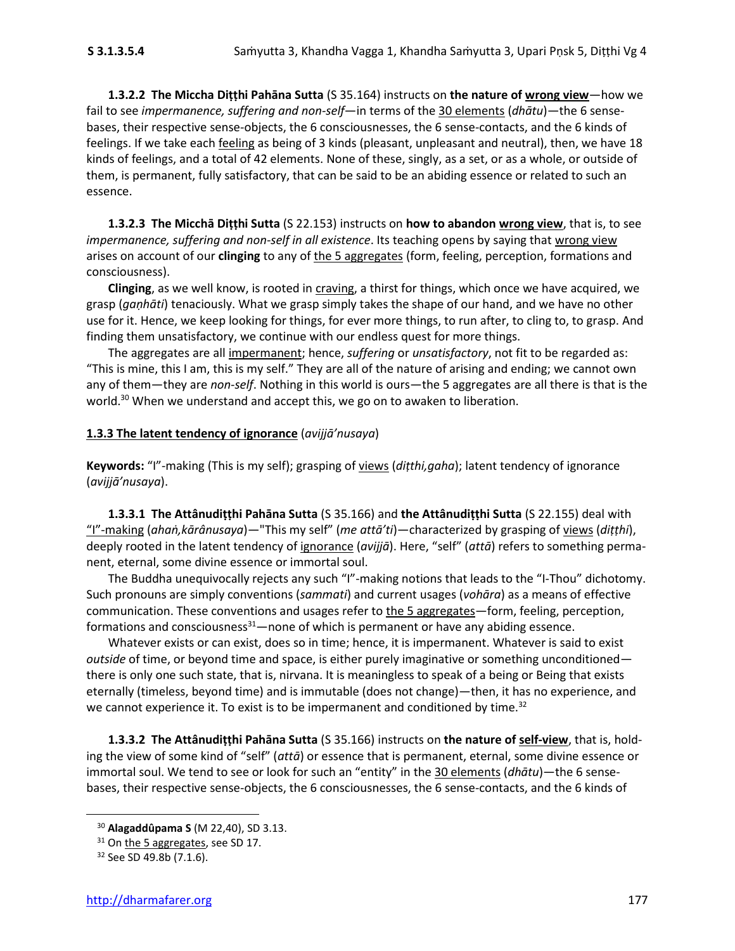**1.3.2.2 The Miccha Diṭṭhi Pahāna Sutta** (S 35.164) instructs on **the nature of wrong view**—how we fail to see *impermanence, suffering and non-self*—in terms of the 30 elements (*dhātu*)—the 6 sensebases, their respective sense-objects, the 6 consciousnesses, the 6 sense-contacts, and the 6 kinds of feelings. If we take each *feeling* as being of 3 kinds (pleasant, unpleasant and neutral), then, we have 18 kinds of feelings, and a total of 42 elements. None of these, singly, as a set, or as a whole, or outside of them, is permanent, fully satisfactory, that can be said to be an abiding essence or related to such an essence.

**1.3.2.3 The Micchā Diṭṭhi Sutta** (S 22.153) instructs on **how to abandon wrong view**, that is, to see *impermanence, suffering and non-self in all existence*. Its teaching opens by saying that wrong view arises on account of our **clinging** to any of the 5 aggregates (form, feeling, perception, formations and consciousness).

**Clinging**, as we well know, is rooted in craving, a thirst for things, which once we have acquired, we grasp (*gaṇhāti*) tenaciously. What we grasp simply takes the shape of our hand, and we have no other use for it. Hence, we keep looking for things, for ever more things, to run after, to cling to, to grasp. And finding them unsatisfactory, we continue with our endless quest for more things.

The aggregates are all impermanent; hence, *suffering* or *unsatisfactory*, not fit to be regarded as: "This is mine, this I am, this is my self." They are all of the nature of arising and ending; we cannot own any of them—they are *non-self*. Nothing in this world is ours—the 5 aggregates are all there is that is the world.<sup>30</sup> When we understand and accept this, we go on to awaken to liberation.

## **1.3.3 The latent tendency of ignorance** (*avijjā'nusaya*)

**Keywords:** "I"-making (This is my self); grasping of views (*diṭthi,gaha*); latent tendency of ignorance (*avijjā'nusaya*).

**1.3.3.1 The Attânudiṭṭhi Pahāna Sutta** (S 35.166) and **the Attânudiṭṭhi Sutta** (S 22.155) deal with "I"-making (*ahaṅ,kārânusaya*)—"This my self" (*me attā'ti*)—characterized by grasping of views (*diṭṭhi*), deeply rooted in the latent tendency of ignorance (*avijjā*). Here, "self" (*attā*) refers to something permanent, eternal, some divine essence or immortal soul.

The Buddha unequivocally rejects any such "I"-making notions that leads to the "I-Thou" dichotomy. Such pronouns are simply conventions (*sammati*) and current usages (*vohāra*) as a means of effective communication. These conventions and usages refer to the 5 aggregates—form, feeling, perception, formations and consciousness $31$ —none of which is permanent or have any abiding essence.

Whatever exists or can exist, does so in time; hence, it is impermanent. Whatever is said to exist *outside* of time, or beyond time and space, is either purely imaginative or something unconditioned there is only one such state, that is, nirvana. It is meaningless to speak of a being or Being that exists eternally (timeless, beyond time) and is immutable (does not change)—then, it has no experience, and we cannot experience it. To exist is to be impermanent and conditioned by time.<sup>32</sup>

**1.3.3.2 The Attânudiṭṭhi Pahāna Sutta** (S 35.166) instructs on **the nature of self-view**, that is, holding the view of some kind of "self" (*attā*) or essence that is permanent, eternal, some divine essence or immortal soul. We tend to see or look for such an "entity" in the 30 elements (*dhātu*)—the 6 sensebases, their respective sense-objects, the 6 consciousnesses, the 6 sense-contacts, and the 6 kinds of

<sup>30</sup> **Alagaddûpama S** (M 22,40), SD 3.13.

<sup>&</sup>lt;sup>31</sup> On the 5 aggregates, see SD 17.

<sup>&</sup>lt;sup>32</sup> See SD 49.8b (7.1.6).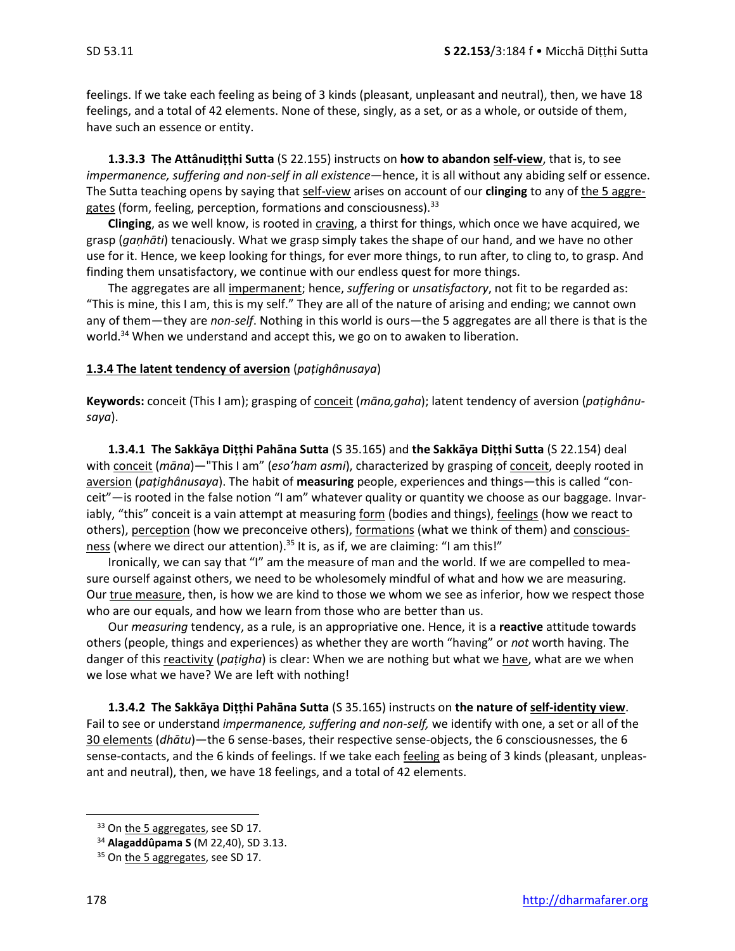feelings. If we take each feeling as being of 3 kinds (pleasant, unpleasant and neutral), then, we have 18 feelings, and a total of 42 elements. None of these, singly, as a set, or as a whole, or outside of them, have such an essence or entity.

**1.3.3.3 The Attânudiṭṭhi Sutta** (S 22.155) instructs on **how to abandon self-view**, that is, to see *impermanence, suffering and non-self in all existence*—hence, it is all without any abiding self or essence. The Sutta teaching opens by saying that self-view arises on account of our **clinging** to any of the 5 aggregates (form, feeling, perception, formations and consciousness).<sup>33</sup>

**Clinging**, as we well know, is rooted in craving, a thirst for things, which once we have acquired, we grasp (*gaṇhāti*) tenaciously. What we grasp simply takes the shape of our hand, and we have no other use for it. Hence, we keep looking for things, for ever more things, to run after, to cling to, to grasp. And finding them unsatisfactory, we continue with our endless quest for more things.

The aggregates are all impermanent; hence, *suffering* or *unsatisfactory*, not fit to be regarded as: "This is mine, this I am, this is my self." They are all of the nature of arising and ending; we cannot own any of them—they are *non-self*. Nothing in this world is ours—the 5 aggregates are all there is that is the world.<sup>34</sup> When we understand and accept this, we go on to awaken to liberation.

## **1.3.4 The latent tendency of aversion** (*paṭighânusaya*)

**Keywords:** conceit (This I am); grasping of conceit (*māna,gaha*); latent tendency of aversion (*paṭighânusaya*).

**1.3.4.1 The Sakkāya Diṭṭhi Pahāna Sutta** (S 35.165) and **the Sakkāya Diṭṭhi Sutta** (S 22.154) deal with conceit (*māna*)—"This I am" (*eso'ham asmi*), characterized by grasping of conceit, deeply rooted in aversion (*paṭighânusaya*). The habit of **measuring** people, experiences and things—this is called "conceit"—is rooted in the false notion "I am" whatever quality or quantity we choose as our baggage. Invariably, "this" conceit is a vain attempt at measuring form (bodies and things), feelings (how we react to others), perception (how we preconceive others), formations (what we think of them) and consciousness (where we direct our attention).<sup>35</sup> It is, as if, we are claiming: "I am this!"

Ironically, we can say that "I" am the measure of man and the world. If we are compelled to measure ourself against others, we need to be wholesomely mindful of what and how we are measuring. Our true measure, then, is how we are kind to those we whom we see as inferior, how we respect those who are our equals, and how we learn from those who are better than us.

Our *measuring* tendency, as a rule, is an appropriative one. Hence, it is a **reactive** attitude towards others (people, things and experiences) as whether they are worth "having" or *not* worth having. The danger of this reactivity (*paṭigha*) is clear: When we are nothing but what we have, what are we when we lose what we have? We are left with nothing!

**1.3.4.2 The Sakkāya Diṭṭhi Pahāna Sutta** (S 35.165) instructs on **the nature of self-identity view**. Fail to see or understand *impermanence, suffering and non-self,* we identify with one, a set or all of the 30 elements (*dhātu*)—the 6 sense-bases, their respective sense-objects, the 6 consciousnesses, the 6 sense-contacts, and the 6 kinds of feelings. If we take each feeling as being of 3 kinds (pleasant, unpleasant and neutral), then, we have 18 feelings, and a total of 42 elements.

<sup>&</sup>lt;sup>33</sup> On the 5 aggregates, see SD 17.

<sup>34</sup> **Alagaddûpama S** (M 22,40), SD 3.13.

<sup>&</sup>lt;sup>35</sup> On the 5 aggregates, see SD 17.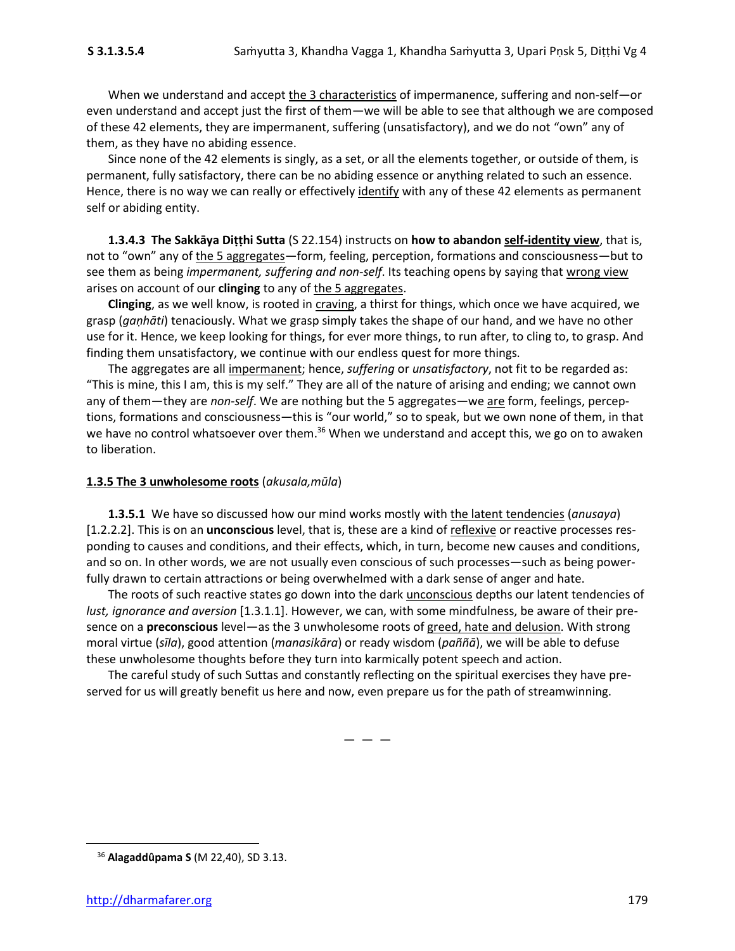When we understand and accept the 3 characteristics of impermanence, suffering and non-self—or even understand and accept just the first of them—we will be able to see that although we are composed of these 42 elements, they are impermanent, suffering (unsatisfactory), and we do not "own" any of them, as they have no abiding essence.

Since none of the 42 elements is singly, as a set, or all the elements together, or outside of them, is permanent, fully satisfactory, there can be no abiding essence or anything related to such an essence. Hence, there is no way we can really or effectively identify with any of these 42 elements as permanent self or abiding entity.

**1.3.4.3 The Sakkāya Diṭṭhi Sutta** (S 22.154) instructs on **how to abandon self-identity view**, that is, not to "own" any of the 5 aggregates—form, feeling, perception, formations and consciousness—but to see them as being *impermanent, suffering and non-self*. Its teaching opens by saying that wrong view arises on account of our **clinging** to any of the 5 aggregates.

**Clinging**, as we well know, is rooted in craving, a thirst for things, which once we have acquired, we grasp (*gaṇhāti*) tenaciously. What we grasp simply takes the shape of our hand, and we have no other use for it. Hence, we keep looking for things, for ever more things, to run after, to cling to, to grasp. And finding them unsatisfactory, we continue with our endless quest for more things.

The aggregates are all impermanent; hence, *suffering* or *unsatisfactory*, not fit to be regarded as: "This is mine, this I am, this is my self." They are all of the nature of arising and ending; we cannot own any of them—they are *non-self*. We are nothing but the 5 aggregates—we are form, feelings, perceptions, formations and consciousness—this is "our world," so to speak, but we own none of them, in that we have no control whatsoever over them.<sup>36</sup> When we understand and accept this, we go on to awaken to liberation.

## **1.3.5 The 3 unwholesome roots** (*akusala,mūla*)

**1.3.5.1** We have so discussed how our mind works mostly with the latent tendencies (*anusaya*) [1.2.2.2]. This is on an **unconscious** level, that is, these are a kind of reflexive or reactive processes responding to causes and conditions, and their effects, which, in turn, become new causes and conditions, and so on. In other words, we are not usually even conscious of such processes—such as being powerfully drawn to certain attractions or being overwhelmed with a dark sense of anger and hate.

The roots of such reactive states go down into the dark unconscious depths our latent tendencies of *lust, ignorance and aversion* [1.3.1.1]. However, we can, with some mindfulness, be aware of their presence on a **preconscious** level—as the 3 unwholesome roots of greed, hate and delusion. With strong moral virtue (*sīla*), good attention (*manasikāra*) or ready wisdom (*paññā*), we will be able to defuse these unwholesome thoughts before they turn into karmically potent speech and action.

The careful study of such Suttas and constantly reflecting on the spiritual exercises they have preserved for us will greatly benefit us here and now, even prepare us for the path of streamwinning.

 $-$ 

<sup>36</sup> **Alagaddûpama S** (M 22,40), SD 3.13.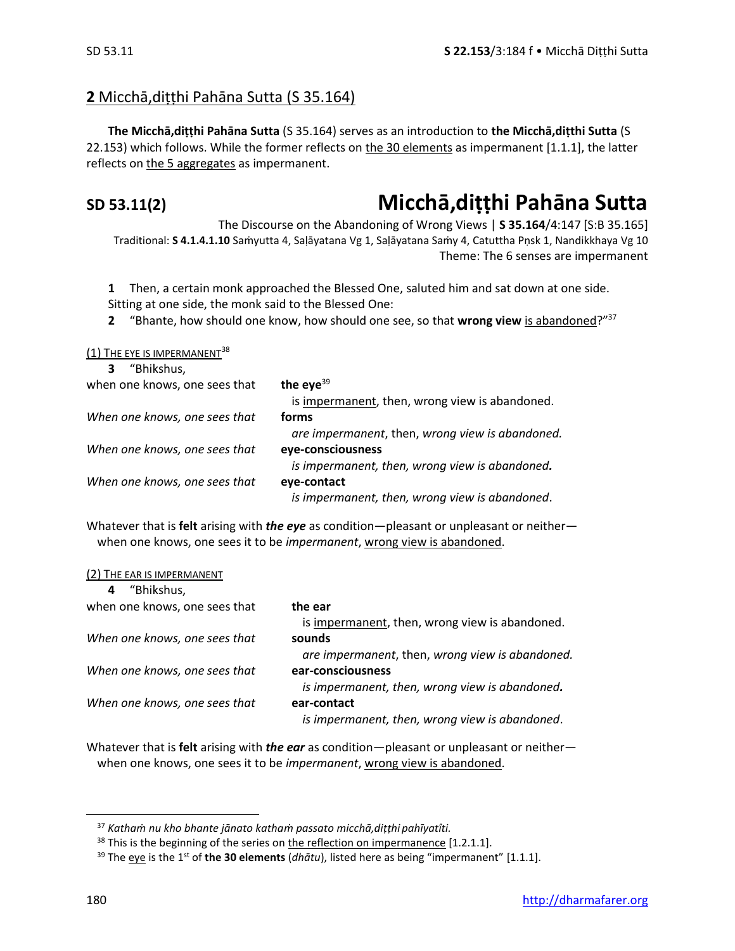## **2** Micchā,diṭṭhi Pahāna Sutta (S 35.164)

**The Micchā,diṭṭhi Pahāna Sutta** (S 35.164) serves as an introduction to **the Micchā,diṭthi Sutta** (S 22.153) which follows. While the former reflects on the 30 elements as impermanent [1.1.1], the latter reflects on the 5 aggregates as impermanent.

## **SD 53.11(2) Micchā,diṭṭhi Pahāna Sutta**

The Discourse on the Abandoning of Wrong Views | **S 35.164**/4:147 [S:B 35.165] Traditional: **S 4.1.4.1.10** Saṁyutta 4, Saḷāyatana Vg 1, Saḷāyatana Saṁy 4, Catuttha Pṇsk 1, Nandikkhaya Vg 10 Theme: The 6 senses are impermanent

**1** Then, a certain monk approached the Blessed One, saluted him and sat down at one side. Sitting at one side, the monk said to the Blessed One:

**2** "Bhante, how should one know, how should one see, so that **wrong view** is abandoned?"<sup>37</sup>

(1) THE EYE IS IMPERMANENT<sup>38</sup>

| "Bhikshus,<br>3               |                                                 |
|-------------------------------|-------------------------------------------------|
| when one knows, one sees that | the eye $39$                                    |
|                               | is impermanent, then, wrong view is abandoned.  |
| When one knows, one sees that | forms                                           |
|                               | are impermanent, then, wrong view is abandoned. |
| When one knows, one sees that | eye-consciousness                               |
|                               | is impermanent, then, wrong view is abandoned.  |
| When one knows, one sees that | eye-contact                                     |
|                               | is impermanent, then, wrong view is abandoned.  |

Whatever that is **felt** arising with *the eye* as condition—pleasant or unpleasant or neither when one knows, one sees it to be *impermanent*, wrong view is abandoned.

| (2) THE EAR IS IMPERMANENT |
|----------------------------|
|----------------------------|

| "Bhikshus,<br>4               |                                                 |
|-------------------------------|-------------------------------------------------|
| when one knows, one sees that | the ear                                         |
|                               | is impermanent, then, wrong view is abandoned.  |
| When one knows, one sees that | sounds                                          |
|                               | are impermanent, then, wrong view is abandoned. |
| When one knows, one sees that | ear-consciousness                               |
|                               | is impermanent, then, wrong view is abandoned.  |
| When one knows, one sees that | ear-contact                                     |
|                               | is impermanent, then, wrong view is abandoned.  |

Whatever that is **felt** arising with *the ear* as condition—pleasant or unpleasant or neither when one knows, one sees it to be *impermanent*, wrong view is abandoned.

<sup>37</sup> *Kathaṁ nu kho bhante jānato kathaṁ passato micchā,diṭṭhi pahīyatîti.*

 $38$  This is the beginning of the series on the reflection on impermanence [1.2.1.1].

<sup>&</sup>lt;sup>39</sup> The eye is the 1<sup>st</sup> of the 30 elements (*dhātu*), listed here as being "impermanent" [1.1.1].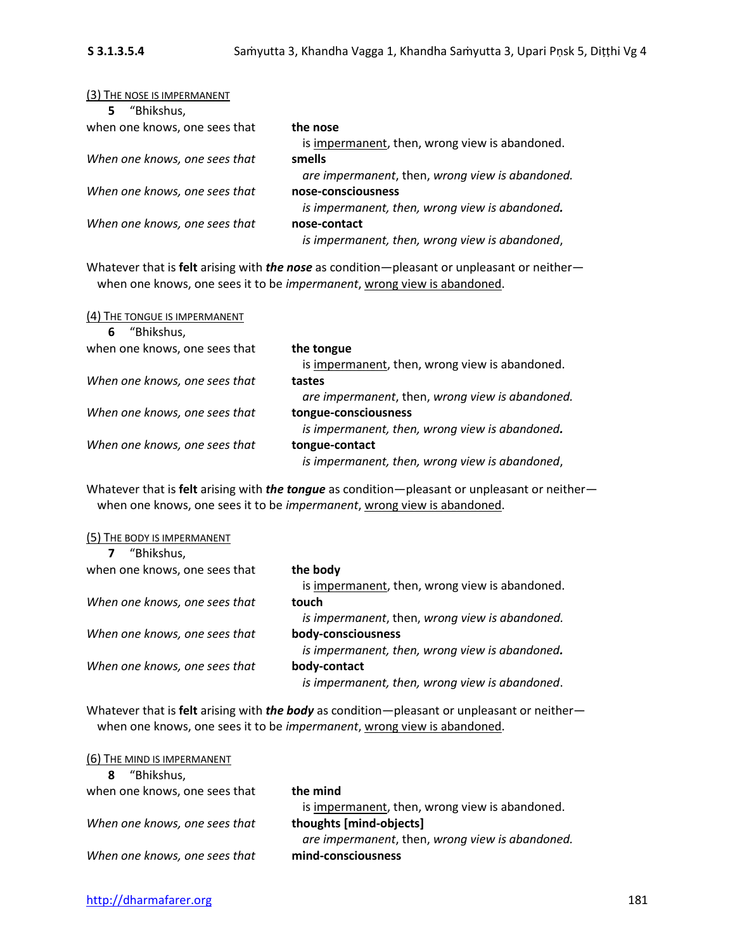| (3) THE NOSE IS IMPERMANENT   |                                                 |
|-------------------------------|-------------------------------------------------|
| "Bhikshus,<br>5.              |                                                 |
| when one knows, one sees that | the nose                                        |
|                               | is impermanent, then, wrong view is abandoned.  |
| When one knows, one sees that | smells                                          |
|                               | are impermanent, then, wrong view is abandoned. |
| When one knows, one sees that | nose-consciousness                              |
|                               | is impermanent, then, wrong view is abandoned.  |
| When one knows, one sees that | nose-contact                                    |
|                               | is impermanent, then, wrong view is abandoned,  |

Whatever that is **felt** arising with *the nose* as condition—pleasant or unpleasant or neither when one knows, one sees it to be *impermanent*, wrong view is abandoned.

| (4) THE TONGUE IS IMPERMANENT |                                                 |
|-------------------------------|-------------------------------------------------|
| "Bhikshus,<br>6               |                                                 |
| when one knows, one sees that | the tongue                                      |
|                               | is impermanent, then, wrong view is abandoned.  |
| When one knows, one sees that | tastes                                          |
|                               | are impermanent, then, wrong view is abandoned. |
| When one knows, one sees that | tongue-consciousness                            |
|                               | is impermanent, then, wrong view is abandoned.  |
| When one knows, one sees that | tongue-contact                                  |
|                               | is impermanent, then, wrong view is abandoned,  |

Whatever that is **felt** arising with *the tongue* as condition—pleasant or unpleasant or neither when one knows, one sees it to be *impermanent*, wrong view is abandoned.

| (5) THE BODY IS IMPERMANENT   |                                                |
|-------------------------------|------------------------------------------------|
| "Bhikshus,<br>7               |                                                |
| when one knows, one sees that | the body                                       |
|                               | is impermanent, then, wrong view is abandoned. |
| When one knows, one sees that | touch                                          |
|                               | is impermanent, then, wrong view is abandoned. |
| When one knows, one sees that | body-consciousness                             |
|                               | is impermanent, then, wrong view is abandoned. |
| When one knows, one sees that | body-contact                                   |
|                               | is impermanent, then, wrong view is abandoned. |

Whatever that is **felt** arising with *the body* as condition—pleasant or unpleasant or neither when one knows, one sees it to be *impermanent*, wrong view is abandoned.

| (6) THE MIND IS IMPERMANENT   |                                                 |
|-------------------------------|-------------------------------------------------|
| "Bhikshus,<br>8               |                                                 |
| when one knows, one sees that | the mind                                        |
|                               | is impermanent, then, wrong view is abandoned.  |
| When one knows, one sees that | thoughts [mind-objects]                         |
|                               | are impermanent, then, wrong view is abandoned. |
| When one knows, one sees that | mind-consciousness                              |
|                               |                                                 |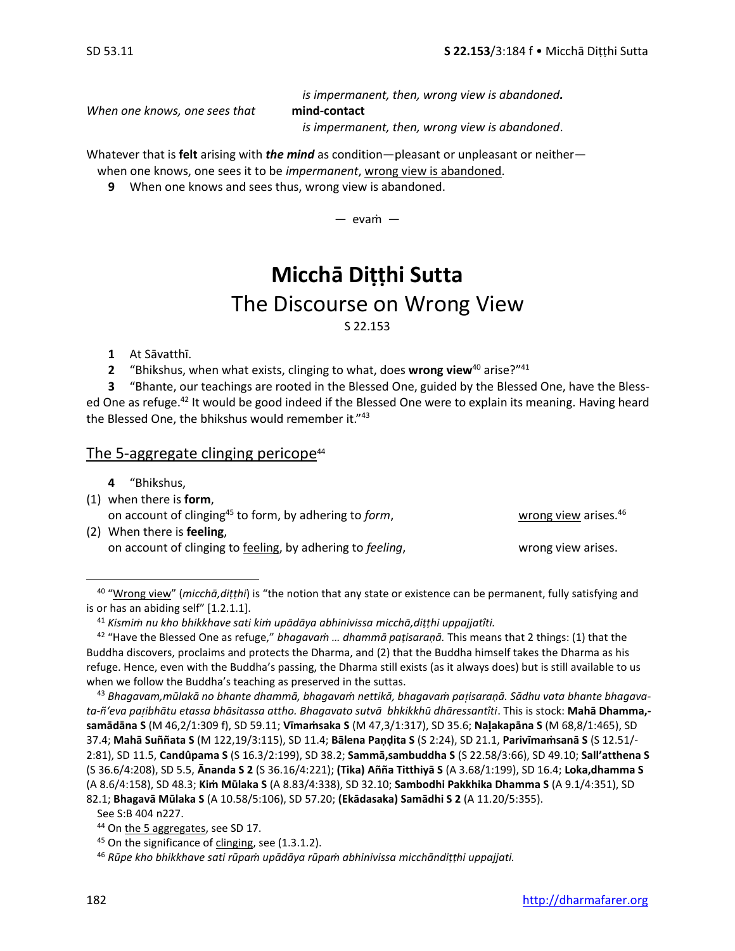*is impermanent, then, wrong view is abandoned.*

*When one knows, one sees that* **mind-contact** 

*is impermanent, then, wrong view is abandoned*.

Whatever that is **felt** arising with *the mind* as condition—pleasant or unpleasant or neither when one knows, one sees it to be *impermanent*, wrong view is abandoned.

**9** When one knows and sees thus, wrong view is abandoned.

 $-$  evam  $-$ 

## **Micchā Diṭṭhi Sutta**

## The Discourse on Wrong View

S 22.153

- **1** At Sāvatthī.
- **2** "Bhikshus, when what exists, clinging to what, does **wrong view**<sup>40</sup> arise?"<sup>41</sup>

**3** "Bhante, our teachings are rooted in the Blessed One, guided by the Blessed One, have the Blessed One as refuge.<sup>42</sup> It would be good indeed if the Blessed One were to explain its meaning. Having heard the Blessed One, the bhikshus would remember it."<sup>43</sup>

## The 5-aggregate clinging pericope $44$

- **4** "Bhikshus,
- (1) when there is **form**, on account of clinging<sup>45</sup> to form, by adhering to *form*, wrong view arises.<sup>46</sup> (2) When there is **feeling**,
	- on account of clinging to feeling, by adhering to *feeling*, wrong view arises.

40 "Wrong view" (*micchā,diṭṭhi*) is "the notion that any state or existence can be permanent, fully satisfying and is or has an abiding self" [1.2.1.1].

<sup>41</sup> *Kismiṁ nu kho bhikkhave sati kiṁ upādāya abhinivissa micchā,diṭṭhi uppajjatîti.*

<sup>42</sup> "Have the Blessed One as refuge," *bhagavaṁ … dhammā paṭisaraṇā.* This means that 2 things: (1) that the Buddha discovers, proclaims and protects the Dharma, and (2) that the Buddha himself takes the Dharma as his refuge. Hence, even with the Buddha's passing, the Dharma still exists (as it always does) but is still available to us when we follow the Buddha's teaching as preserved in the suttas.

<sup>43</sup> *Bhagavam,mūlakā no bhante dhammā, bhagavaṁ nettikā, bhagavaṁ paisaraṇā. Sādhu vata bhante bhagavata-ñ'eva paibhātu etassa bhāsitassa attho. Bhagavato sutvā bhkikkhū dhāressantîti*. This is stock: **Mahā Dhamma, samādāna S** (M 46,2/1:309 f), SD 59.11; **Vīmaṁsaka S** (M 47,3/1:317), SD 35.6; **Naakapāna S** (M 68,8/1:465), SD 37.4; **Mahā Suññata S** (M 122,19/3:115), SD 11.4; **Bālena Paṇḍita S** (S 2:24), SD 21.1, **Parivīmaṁsanā S** (S 12.51/- 2:81), SD 11.5, **Candûpama S** (S 16.3/2:199), SD 38.2; **Sammā,sambuddha S** (S 22.58/3:66), SD 49.10; **Sall'atthena S** (S 36.6/4:208), SD 5.5, **Ānanda S 2** (S 36.16/4:221); **(Tika) Añña Titthiyā S** (A 3.68/1:199), SD 16.4; **Loka,dhamma S**  (A 8.6/4:158), SD 48.3; **Kiṁ Mūlaka S** (A 8.83/4:338), SD 32.10; **Sambodhi Pakkhika Dhamma S** (A 9.1/4:351), SD 82.1; **Bhagavā Mūlaka S** (A 10.58/5:106), SD 57.20; **(Ekādasaka) Samādhi S 2** (A 11.20/5:355).

See S:B 404 n227.

<sup>&</sup>lt;sup>44</sup> On the 5 aggregates, see SD 17.

 $45$  On the significance of clinging, see (1.3.1.2).

<sup>46</sup> *Rūpe kho bhikkhave sati rūpaṁ upādāya rūpaṁ abhinivissa micchāndiṭṭhi uppajjati.*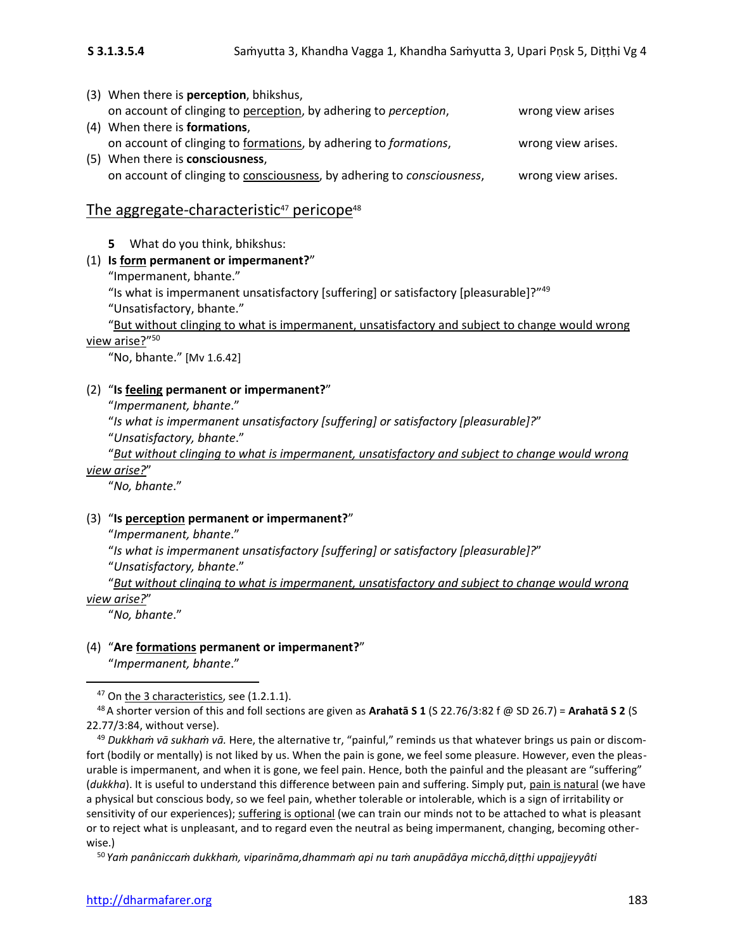| (3) When there is <b>perception</b> , bhikshus,                        |                    |
|------------------------------------------------------------------------|--------------------|
| on account of clinging to perception, by adhering to perception,       | wrong view arises  |
| (4) When there is <b>formations</b> ,                                  |                    |
| on account of clinging to formations, by adhering to formations,       | wrong view arises. |
| (5) When there is <b>consciousness</b> ,                               |                    |
| on account of clinging to consciousness, by adhering to consciousness, | wrong view arises. |

## The aggregate-characteristic<sup>47</sup> pericope<sup>48</sup>

**5** What do you think, bhikshus:

### (1) **Is form permanent or impermanent?**"

"Impermanent, bhante."

"Is what is impermanent unsatisfactory [suffering] or satisfactory [pleasurable]?"<sup>49</sup>

"Unsatisfactory, bhante."

"But without clinging to what is impermanent, unsatisfactory and subject to change would wrong <u>view arise?</u>"<sup>50</sup>

"No, bhante." [Mv 1.6.42]

### (2) "**Is feeling permanent or impermanent?**"

"*Impermanent, bhante*."

"*Is what is impermanent unsatisfactory [suffering] or satisfactory [pleasurable]?*"

"*Unsatisfactory, bhante*."

"*But without clinging to what is impermanent, unsatisfactory and subject to change would wrong view arise?*"

"*No, bhante*."

### (3) "**Is perception permanent or impermanent?**"

"*Impermanent, bhante*."

"*Is what is impermanent unsatisfactory [suffering] or satisfactory [pleasurable]?*"

"*Unsatisfactory, bhante*."

"*But without clinging to what is impermanent, unsatisfactory and subject to change would wrong view arise?*"

"*No, bhante*."

## (4) "**Are formations permanent or impermanent?**"

"*Impermanent, bhante*."

<sup>47</sup> On the 3 characteristics, see (1.2.1.1).

<sup>48</sup>A shorter version of this and foll sections are given as **Arahatā S 1** (S 22.76/3:82 f @ SD 26.7) = **Arahatā S 2** (S 22.77/3:84, without verse).

<sup>49</sup> *Dukkhaṁ vā sukhaṁ vā.* Here, the alternative tr, "painful," reminds us that whatever brings us pain or discomfort (bodily or mentally) is not liked by us. When the pain is gone, we feel some pleasure. However, even the pleasurable is impermanent, and when it is gone, we feel pain. Hence, both the painful and the pleasant are "suffering" (*dukkha*). It is useful to understand this difference between pain and suffering. Simply put, pain is natural (we have a physical but conscious body, so we feel pain, whether tolerable or intolerable, which is a sign of irritability or sensitivity of our experiences); suffering is optional (we can train our minds not to be attached to what is pleasant or to reject what is unpleasant, and to regard even the neutral as being impermanent, changing, becoming otherwise.)

<sup>50</sup> *Yaṁ panâniccaṁ dukkhaṁ, viparināma,dhammaṁ api nu taṁ anupādāya micchā,diṭṭhi uppajjeyyâti*